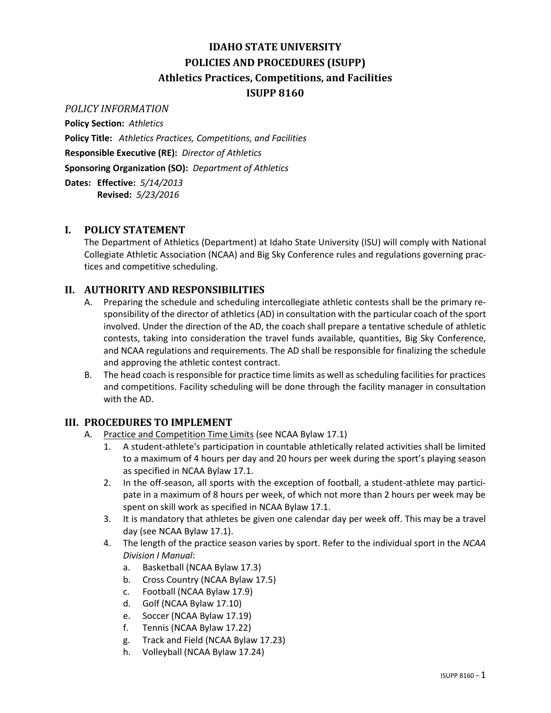# **IDAHO STATE UNIVERSITY POLICIES AND PROCEDURES (ISUPP) Athletics Practices, Competitions, and Facilities ISUPP 8160**

## *POLICY INFORMATION*

**Policy Section:** *Athletics*

**Policy Title:** *Athletics Practices, Competitions, and Facilities* **Responsible Executive (RE):** *Director of Athletics* **Sponsoring Organization (SO):** *Department of Athletics*

**Dates: Effective:** *5/14/2013* **Revised:** *5/23/2016*

## **I. POLICY STATEMENT**

The Department of Athletics (Department) at Idaho State University (ISU) will comply with National Collegiate Athletic Association (NCAA) and Big Sky Conference rules and regulations governing practices and competitive scheduling.

## **II. AUTHORITY AND RESPONSIBILITIES**

- A. Preparing the schedule and scheduling intercollegiate athletic contests shall be the primary responsibility of the director of athletics (AD) in consultation with the particular coach of the sport involved. Under the direction of the AD, the coach shall prepare a tentative schedule of athletic contests, taking into consideration the travel funds available, quantities, Big Sky Conference, and NCAA regulations and requirements. The AD shall be responsible for finalizing the schedule and approving the athletic contest contract.
- B. The head coach is responsible for practice time limits as well as scheduling facilities for practices and competitions. Facility scheduling will be done through the facility manager in consultation with the AD.

## **III. PROCEDURES TO IMPLEMENT**

- A. Practice and Competition Time Limits (see NCAA Bylaw 17.1)
	- 1. A student-athlete's participation in countable athletically related activities shall be limited to a maximum of 4 hours per day and 20 hours per week during the sport's playing season as specified in NCAA Bylaw 17.1.
	- 2. In the off-season, all sports with the exception of football, a student-athlete may participate in a maximum of 8 hours per week, of which not more than 2 hours per week may be spent on skill work as specified in NCAA Bylaw 17.1.
	- 3. It is mandatory that athletes be given one calendar day per week off. This may be a travel day (see NCAA Bylaw 17.1).
	- 4. The length of the practice season varies by sport. Refer to the individual sport in the *NCAA Division I Manual*:
		- a. Basketball (NCAA Bylaw 17.3)
		- b. Cross Country (NCAA Bylaw 17.5)
		- c. Football (NCAA Bylaw 17.9)
		- d. Golf (NCAA Bylaw 17.10)
		- e. Soccer (NCAA Bylaw 17.19)
		- f. Tennis (NCAA Bylaw 17.22)
		- g. Track and Field (NCAA Bylaw 17.23)
		- h. Volleyball (NCAA Bylaw 17.24)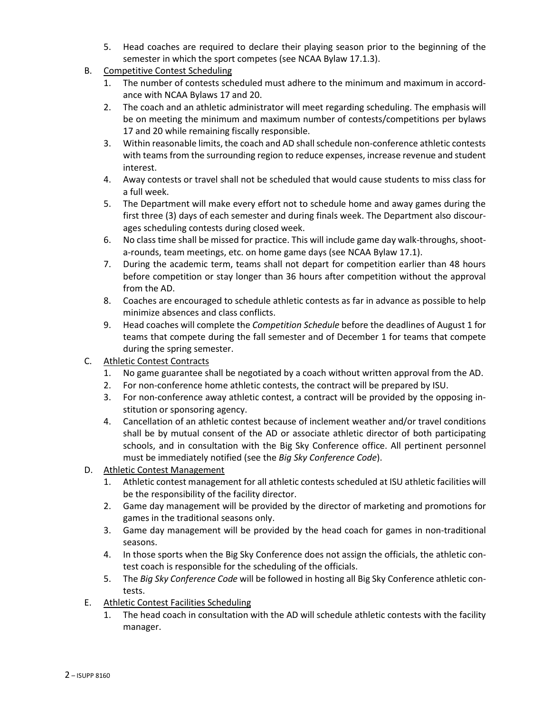- 5. Head coaches are required to declare their playing season prior to the beginning of the semester in which the sport competes (see NCAA Bylaw 17.1.3).
- B. Competitive Contest Scheduling
	- 1. The number of contests scheduled must adhere to the minimum and maximum in accordance with NCAA Bylaws 17 and 20.
	- 2. The coach and an athletic administrator will meet regarding scheduling. The emphasis will be on meeting the minimum and maximum number of contests/competitions per bylaws 17 and 20 while remaining fiscally responsible.
	- 3. Within reasonable limits, the coach and AD shall schedule non-conference athletic contests with teams from the surrounding region to reduce expenses, increase revenue and student interest.
	- 4. Away contests or travel shall not be scheduled that would cause students to miss class for a full week.
	- 5. The Department will make every effort not to schedule home and away games during the first three (3) days of each semester and during finals week. The Department also discourages scheduling contests during closed week.
	- 6. No class time shall be missed for practice. This will include game day walk-throughs, shoota-rounds, team meetings, etc. on home game days (see NCAA Bylaw 17.1).
	- 7. During the academic term, teams shall not depart for competition earlier than 48 hours before competition or stay longer than 36 hours after competition without the approval from the AD.
	- 8. Coaches are encouraged to schedule athletic contests as far in advance as possible to help minimize absences and class conflicts.
	- 9. Head coaches will complete the *Competition Schedule* before the deadlines of August 1 for teams that compete during the fall semester and of December 1 for teams that compete during the spring semester.
- C. Athletic Contest Contracts
	- 1. No game guarantee shall be negotiated by a coach without written approval from the AD.
	- 2. For non-conference home athletic contests, the contract will be prepared by ISU.
	- 3. For non-conference away athletic contest, a contract will be provided by the opposing institution or sponsoring agency.
	- 4. Cancellation of an athletic contest because of inclement weather and/or travel conditions shall be by mutual consent of the AD or associate athletic director of both participating schools, and in consultation with the Big Sky Conference office. All pertinent personnel must be immediately notified (see the *Big Sky Conference Code*).
- D. Athletic Contest Management
	- 1. Athletic contest management for all athletic contests scheduled at ISU athletic facilities will be the responsibility of the facility director.
	- 2. Game day management will be provided by the director of marketing and promotions for games in the traditional seasons only.
	- 3. Game day management will be provided by the head coach for games in non-traditional seasons.
	- 4. In those sports when the Big Sky Conference does not assign the officials, the athletic contest coach is responsible for the scheduling of the officials.
	- 5. The *Big Sky Conference Code* will be followed in hosting all Big Sky Conference athletic contests.
- E. Athletic Contest Facilities Scheduling
	- 1. The head coach in consultation with the AD will schedule athletic contests with the facility manager.